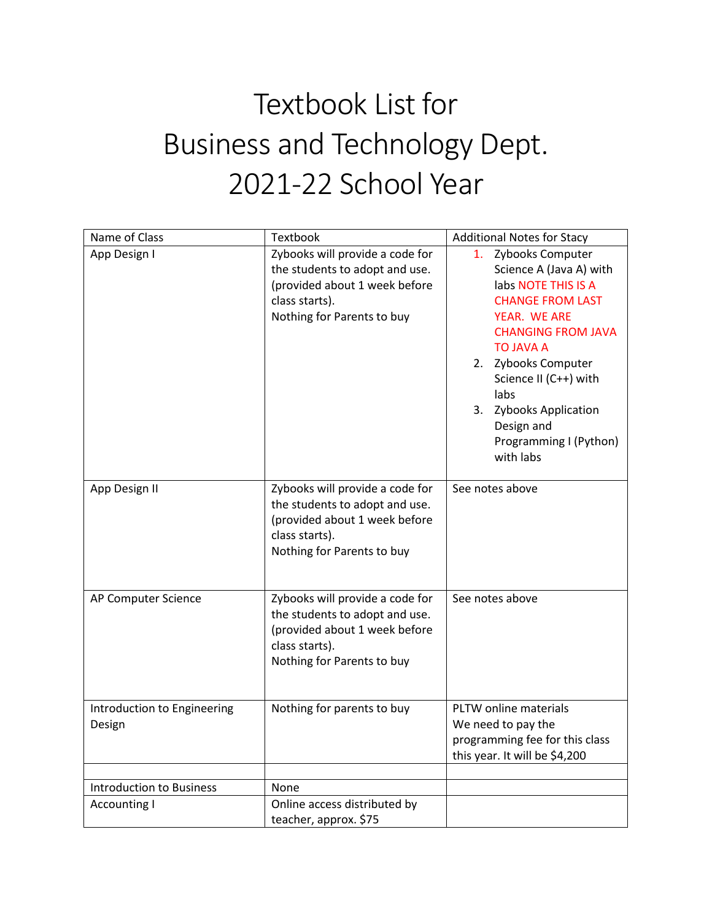## Textbook List for Business and Technology Dept. 2021-22 School Year

| Name of Class                         | Textbook                                                                                                                                           | <b>Additional Notes for Stacy</b>                                                                                                                                                                                                                                                                        |
|---------------------------------------|----------------------------------------------------------------------------------------------------------------------------------------------------|----------------------------------------------------------------------------------------------------------------------------------------------------------------------------------------------------------------------------------------------------------------------------------------------------------|
| App Design I                          | Zybooks will provide a code for<br>the students to adopt and use.<br>(provided about 1 week before<br>class starts).<br>Nothing for Parents to buy | 1. Zybooks Computer<br>Science A (Java A) with<br>labs NOTE THIS IS A<br><b>CHANGE FROM LAST</b><br>YEAR. WE ARE<br><b>CHANGING FROM JAVA</b><br><b>TO JAVA A</b><br>2. Zybooks Computer<br>Science II (C++) with<br>labs<br>3. Zybooks Application<br>Design and<br>Programming I (Python)<br>with labs |
| App Design II                         | Zybooks will provide a code for<br>the students to adopt and use.<br>(provided about 1 week before<br>class starts).<br>Nothing for Parents to buy | See notes above                                                                                                                                                                                                                                                                                          |
| AP Computer Science                   | Zybooks will provide a code for<br>the students to adopt and use.<br>(provided about 1 week before<br>class starts).<br>Nothing for Parents to buy | See notes above                                                                                                                                                                                                                                                                                          |
| Introduction to Engineering<br>Design | Nothing for parents to buy                                                                                                                         | PLTW online materials<br>We need to pay the<br>programming fee for this class<br>this year. It will be \$4,200                                                                                                                                                                                           |
|                                       |                                                                                                                                                    |                                                                                                                                                                                                                                                                                                          |
| <b>Introduction to Business</b>       | None                                                                                                                                               |                                                                                                                                                                                                                                                                                                          |
| <b>Accounting I</b>                   | Online access distributed by<br>teacher, approx. \$75                                                                                              |                                                                                                                                                                                                                                                                                                          |